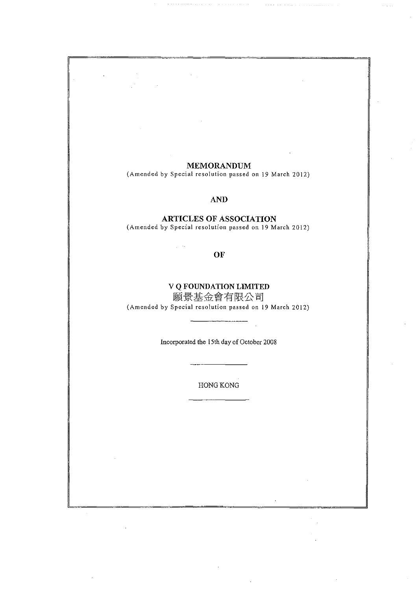### MEMORANDUM

(Amended by Special resolution passed on 19 March 2012)

## AND

### ARTICLES OF ASSOCIATION

(Amended by Special resolution passed on 19 March 2012)

OF

ig in

# V Q FOUNDATION LIMITED

願景基金會有限公司 (Amended by Special resolution passed on 19 March 2012)

Incorporated the l 5th day of October 2008

HONG KONG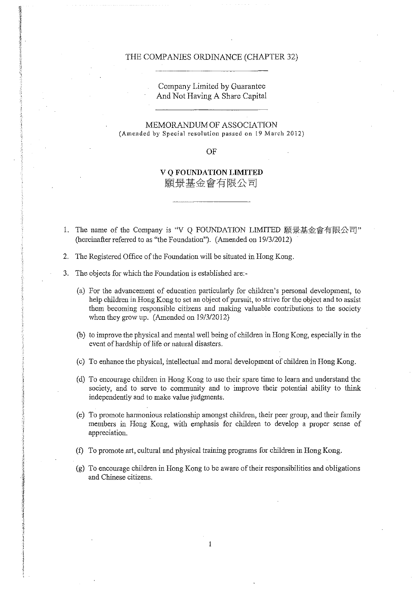#### THE COMPANIES ORDINANCE (CHAPTER 32)

Company Limited by Guarantee And Not Having A Share Capital

MEMORANDUM OF ASSOCIATION (Amended by Special resolution passed on 19 March 2012)

OF

**V Q FOUNDATION LIMITED** 願景基金會有限公司

- 1. The name of the Company is "V Q FOUNDATION LIMITED 願景基金會有限公司" (hereinafter referred to as "the Foundation"). (Amended on 19/3/2012)
- 2. The Registered Office of the Foundation will be situated in Hong Kong.
- 3. The objects for which the Foundation is established are:-
	- (a) For the advancement of education particularly for children's personal development, to help children in Hong Kong to set an object of pursuit, to strive for the object and to assist them becoming responsible citizens and making valuable contributions to the society when they grow up. (Amended on 19/3/2012)
	- (b) to improve the physical and mental well being of children in Hong Kong, especially in the event of hardship of life or natural disasters.
	- (c) To enhance the physical, intellectual and moral development of children in Hong Kong.
	- (d) To encourage children in Hong Kong to use their spare time to learn and understand the society, and to serve to community and to improve their potential ability to think independently and to make value judgments.
	- (e) To promote harmonious relationship amongst children, their peer group, and their family members in Hong Kong, with emphasis for children to develop a proper sense of appreciation.
	- (f) To promote art, cultural and physical training programs for children in Hong Kong.

1

(g) To encourage children in Hong Kong to be aware of their responsibilities and obligations and Chinese citizens.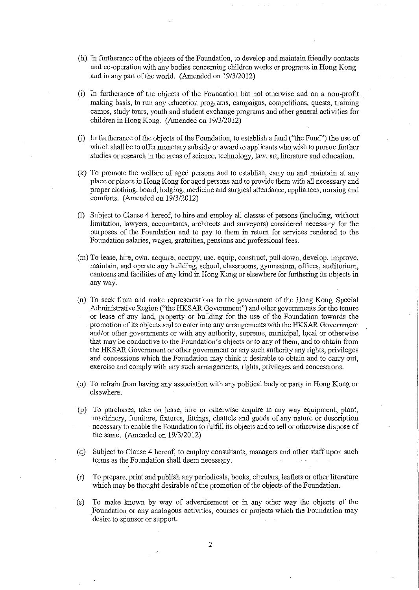- (h) In furtherance of the objects of the Foundation, to develop and maintain friendly contacts and co-operation with any bodies concerning children works or programs in Hong Kong and in any part of the world. (Amended on 19/3/2012)
- (i) In furtherance of the objects of the Foundation bi1t not otherwise and on a non-profit making basis, to run any education programs, campaigns, competitions, quests, training camps, study tours, youth and student exchange programs and other general activities for children in Hong Kong. (Amended on 19/3/2012)
- G) In furtherance of the objects of the Foundation, to establish a fund ("the Fund") the use of which shall be to offer monetary subsidy or award to applicants who wish to pursue further studies or research in the areas of science, technology, law, art, literature and education.
- (k) To promote the welfare of aged persons and to establish, carry on and maintain at any place or places in Hong Kong for aged persons and to provide them with all necessary and proper clothing, board, lodging, medicine and surgical attendance, appliances, nursing and comforts. (Amended on 19/3/2012)
- (1) Subject to Clause 4 hereof, to hire and employ all classes of persons (including, without limitation, lawyers, accountants, architects and surveyors) considered necessary for the purposes of the Foundation and to pay to them in return for services rendered to the Foundation salaries, wages, gratuities, pensions and professional fees.
- (m) To lease, hire, ovln, acquire, occupy, use, equip, construct, pull down, develop, improve, maintain, and operate any building, school, classrooms, gymnasium, offices, auditorium, canteens and facilities of any kind in Hong Kong or elsewhere for furthering its objects in any way.
- (n) To seek from and make representations to the goverrunent of the Hong Kong Special Administrative Region ("the HKSAR Government") and other governments for the tenure or lease of any land, property or building for the use of the Foundation towards the promotion of its objects and to enter into any arrangements with the HKSAR Government and/or other governments or with any authority, supreme, municipal, local or otherwise that may be conductive to the Foundation's objects or to any of them, and to obtain from the HKSAR Government or other government or any such authority any rights, privileges and concessions which the Foundation may think it desirable to obtain and to carry out, exercise and comply with any such arrangements, rights, privileges and concessions.
- (o) To refrain from having any association with any political body or party in Hong Kong or elsewhere.
- (p) To purchases, take on lease, hire or otherwise acquire in any way equipment, plant, machinery, furniture, fixtures, fittings, chattels and goods of any nature or description necessary to enable the Foundation to fulfill its objects and to sell or otherwise dispose of the same. (Amended on 19/3/2012)
- ( q) Subject to Clause 4 hereof, to employ consultants, managers and other staff upon such terms as the Foundation shall deem necessary.
- (r) To prepare, print and publish any periodicals, books, circulars, leaflets or other literature which may be thought desirable of the promotion of the objects of the Foundation.
- (s) To make known by way of advertisement or in any other way the objects of the Foundation or any analogous activities, courses or projects which the Foundation may desire to sponsor or support.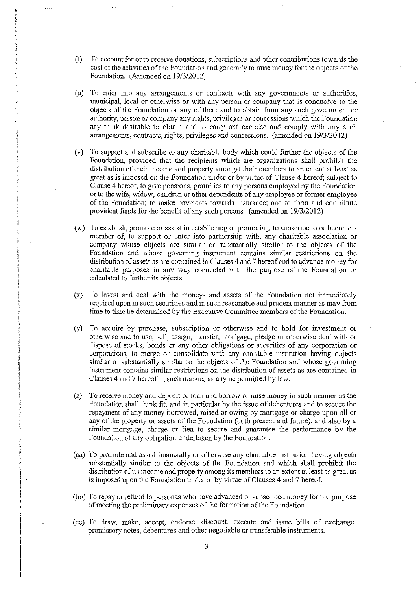- (t) To account for or to receive donations, subscriptions and other contributions towards the cost of the activities of the Foundation and generally to raise money for the objects of the Foupdation. (Amended on 19/3/2012)
- (n) To enter into any arrangements or contracts with any goverrnnents or authorities, municipal, local or otherwise or with any person or company that is conducive to the objects of the Foundation or any of them and to obtain from any such government or authority, person or company any rights, privileges or concessions which the Foundation any think desirable to obtain and to carry out exercise and comply with any such arrangements, contracts, rights, privileges and concessions. (amended on 19/3/2012)
- (v) To support and subscribe to any charitable body which could further the objects of the Foundation, provided that the recipients which are organizations shall prohibit the distribution of their income and property amongst their members to an extent at least as great as is imposed on the Foundation under or by virtue of Clause 4 hereof; subject to Clause 4 hereof, to give pensions, gratuities to any persons employed by the Foundation or to the wife, widow, children or other dependents of any employee or former employee of the Foundation; to make payments towards insurance; and to form and contribute provident funds for the benefit of any such persons. (amended on 19/3/2012)
- (w) To establish, promote or assist in establishing or promoting, to subscribe to or become a member of, to support or enter into partnership with, any charitable association or company whose objects are similar or substantially similar to the objects of the Foundation and whose governing instrument contains similar restrictions on the distribution of assets as are contained in Clauses 4 and 7 hereof and to advance money for charitable purposes in any way connected with the purpose of the Foundation or calculated to further its objects.
- $(x)$ . To invest and deal with the moneys and assets of the Foundation not immediately required upon in such securities and in such reasonable and prudent manner as may from time to time be determined by the Executive Committee members of the Foundation.
- (y) To acquire by purchase, subscription or otherwise and to hold for investment or otherwise and to use, sell, assign, transfer, mortgage, pledge or otherwise deal with or dispose of stocks, bonds or any other obligations or securities of any corporation or corporations, to merge or consolidate with any charitable institution having objects similar or substantially similar to the objects of the Foundation and whose governing instrument contains similar restrictions on the distribution of assets as are contained in Clauses 4 and 7 hereof in such manner as any be permitted by law.
- (z) To receive money and deposit or loan and borrow or raise money in such manner as the Foundation shall think fit, and in particular by the issue of debentures and to secure the repayment of any money borrowed, raised or owing by mortgage or charge upon all or any of the property or assets of the Foundation (both present and future), and also by a similar mortgage, charge or lien to secure and guarantee the performance by the Foundation of any obligation undertaken by the Foundation.
- (aa) To promote and assist financially or otherwise any charitable institution having objects substantially similar to the objects of the Foundation and which shall prohibit the distribution of its income and property among its members to an extent at least as great as is imposed upon the Foundation under or by virtue of Clauses 4 and 7 hereof.
- (bb) To repay or refund to personas who have advanced or subscribed money for the purpose of meeting the preliminary expenses of the formation of the Foundation.
- (cc) To draw, make, accept, endorse, discount, execute and issue bills of exchange, promissory notes, debentures and other negotiable or transferable instruments.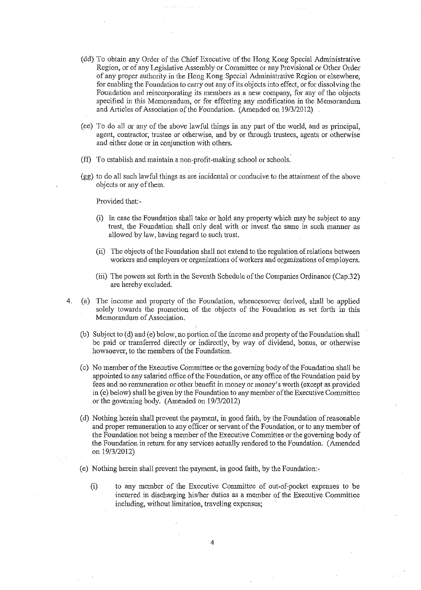- (dd) To obtain any Order of the Chief Executive of the Hong Kong Special Administrative Region, or of any Legislative Assembly or Committee or any Provisional or Other Order of any proper authority in the Hong Kong Special Administrative Region or elsewhere, for enabling the Foundation to carry out any of its objects into effect, or for dissolving the Foundation and reincorporating its members as a new company, for any of the objects specified in this Memorandum, or for effecting any modification in the Memorandum and Articles of Association of the Foundation. (Amended on 19/3/2012)
- (ee) To do all or any of the above lawful things in any part of the world, and as principal, agent, contractor, trustee or otherwise, and by or through trustees, agents or otherwise and either done or in conjunction with others.
- (ff) To establish and maintain a non-profit-making school or schools.
- (gg) to do all such lawful things as are incidental or conducive to the attairunent of the above objects or any of them.

Provided that:-

- (i) In case the Foundation shall take or hold any property which may be subject to any trust, the Foundation shall only deal with or invest the same in such manner as allowed by law, having regard to such trust.
- (ii) The objects of the Foundation shall not extend to the regulation of relations between workers and employers or organizations of workers and organizations of employers.
- (iii) The powers set forth in the Seventh Schedule of the Companies Ordinance (Cap.32) are hereby excluded.
- 4. (a) The income and property of the Foundation, whencesoever derived, shall be applied solely towards the promotion of the objects of the Foundation as set forth in this Memorandum of Association.
	- (b) Subject to (d) and (e) below, no portion of the income and property of the Foundation shall be paid or transferred directly or indirectly, by way of dividend, bonus, or otherwise howsoever, to the members of the Foundation.
	- ( c) No member of the Executive Committee or the governing body of the Foundation shall be appointed to any salaried office of the Foundation, or any office of the Foundation paid by fees and no remuneration or other benefit in money or money's worth (except as provided in (e) below) shall be given by the Foundation to any member of the Executive Committee or the governing body. (Amended on 19/3/2012)
	- ( d) Nothing herein shall prevent the payment, in good faith, by the Foundation of reasonable and proper remuneration to any officer or servant of the Foundation, or to any member of the Foundation not being a member of the Executive Committee or the governing body of the Foundation in return for any services actually rendered to the Foundation. (Amended on 19/3/2012)
	- (e) Nothing herein shall prevent the payment, in good faith, by the Foundation:-
		- (i) to any member of the Executive Committee of out-of-pocket expenses to be incurred in discharging his/her duties as a member of the Executive Committee including, without limitation, traveling expenses;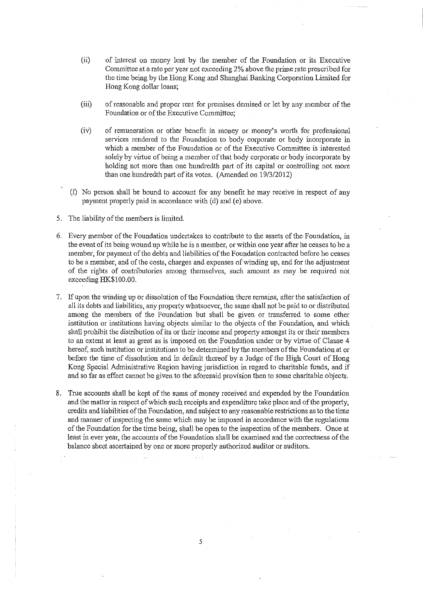- (ii) of interest on money lent by the member of the Foundation or its Executive Committee at a rate per year not exceeding 2 % above the prime rate prescribed for the time being by the Hong Kong and Shanghai Banking Corporation Limited for Hong Kong dollar loans;
- (iii) of reasonable and proper rent for premises demised or let by any member of the Foundation or of the Executive Committee;
- (iv) of remuneration or other benefit in money or money's worth for professional services rendered to the Foundation to body corporate or body incorporate in which a member of the Foundation or of the Executive Committee is interested solely by virtue of being a member of that body corporate or body incorporate by holding not more than one hundredth part of its capital or controlling not more than one hundredth part of its votes. (Amended on 19/3/2012)
- (f) No person shall be bound to account for any benefit he may receive in respect of any payment properly paid in accordance with (d) and (e) above.
- 5. The liability of the members is limited.
- 6. Every member of the Foundation undertakes to contribute to the assets of the Foundation, in the event of its being wound up while he is a member, or within one year after he ceases to be a member, for payment of the debts and liabilities of the Foundation contracted before he ceases to be a member, and of the costs, charges and expenses of winding up, and for the adjustment of the rights of contributories among themselves, such amount as may be required not exceeding HK.\$100.00.
- 7. If upon the winding up or dissolution of the Foundation there remains, after the satisfaction of all its debts and liabilities, any property whatsoever, the same shall not be paid to or distributed among the members of the Foundation but shall be given or transferred to some other institution or institutions having objects similar to the objects of the Foundation, and which shall prohibit the distribution of its or their income and property amongst its or their members to an extent at least as great as is imposed on the Foundation under or by virtue of Clause 4 hereof, such institution or institutions to be determined by the members of the Foundation at or before the time of dissolution and in default thereof by a Judge of the High Court of Hong Kong Special Administrative Region having jurisdiction in regard to charitable funds, and if and so far as effect cannot be given to the aforesaid provision then to some charitable objects.
- 8. True accounts shall be kept of the sums of money received and expended by the Foundation and the matter in respect of which such receipts and expenditure take place and of the property, credits and liabilities of the Foundation, and subject to any reasonable restrictions as to the time and manner of inspecting the same which may be imposed in accordance with the regulations of the Foundation for the time being, shall be open to the inspection of the members. Once at least in ever year, the accounts of the Foundation shall be examined and the correctness of the balance sheet ascertained by one or more properly authorized auditor or auditors.

*5*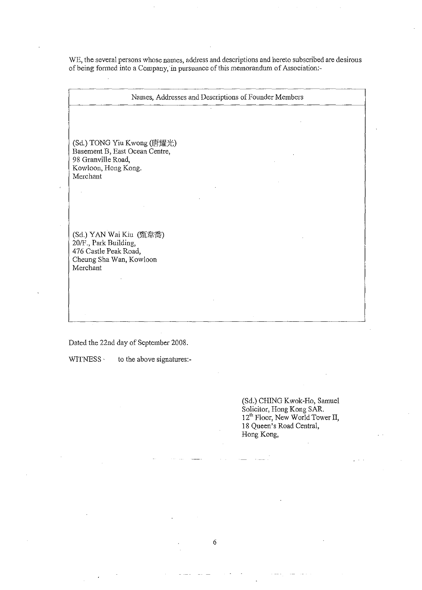WE, the several persons whose names, address and descriptions and hereto subscribed are desirous of being formed into a Company, in pursuance of this memorandum of Association:-

Names, Addresses and Descriptions of Founder Members (Sd.) TONG Yiu Kwong (唐耀光) Basement B, East Ocean Centre, 98 Granville Road, Kowloon, Hong Kong. Merchant (Sd.) YAN Wai Kiu (甄韋喬) 20/F., Park Building, 476 Castle Peak Road, Cheung Sha Wan, Kowloon Merchant

6

Dated the 22nd day of September 2008.

WITNESS to the above signatures:-

(Sd.) CHING Kwok-Ho, Samuel Solicitor, Hong Kong SAR. 12<sup>th</sup> Floor, New World Tower II, 18 Queen's Road Central, Hong Kong,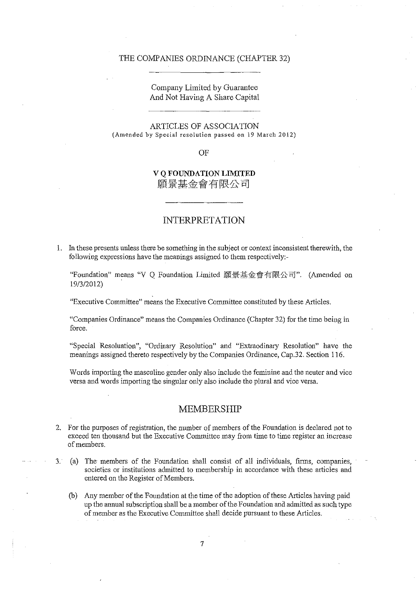#### **THE** COMPANIES ORDINANCE (CHAPTER 32)

## Company Limited by Guarantee And Not Having A Share Capital

ARTICLES OF ASSOCIATION (Amended by Special resolution passed on 19 March 2012)

### OF

## **V Q FOUNDATION LIMITED**  願景基金會有限公司

## **INTERPRETATION**

1. In these presents unless there be something in the subject or context inconsistent therewith, the following expressions have the meanings assigned to them respectively:-

"Foundation" means "V Q Foundation Limited 願景基金會有限公司". (Amended on 19/3/2012)

"Executive Committee" means the Executive Committee constituted by these Articles.

"Companies Ordinance" means the Companies Ordinance (Chapter 32) for the time being in force.

"Special Resoluation", "Ordinary Resolution" and "Extraodinary Resolution" have the meanings assigned thereto respectively by the Companies Ordinance, Cap.32. Section 116.

Words importing the masculine gender only also include the feminine and the neuter and vice versa and words importing the singular only also include the plural and vice versa.

### **MEMBERSHIP**

- 2. For the purposes of registration, the number of members of the Foundation is declared not to exceed ten thousand but the Executive Committee may from time to time register an increase of members.
- 3. (a) The members of the Foundation shall consist of all individuals, firms, companies, societies or institutions admitted to membership in accordance with these articles and entered on the Register of Members.
	- (b) Any member of the Foundation at the time of the adoption of these Articles having paid up the annual subscription shall be a member of the Foundation and admitted as such type of member as the Executive Committee shall decide pursuant to these Articles.

7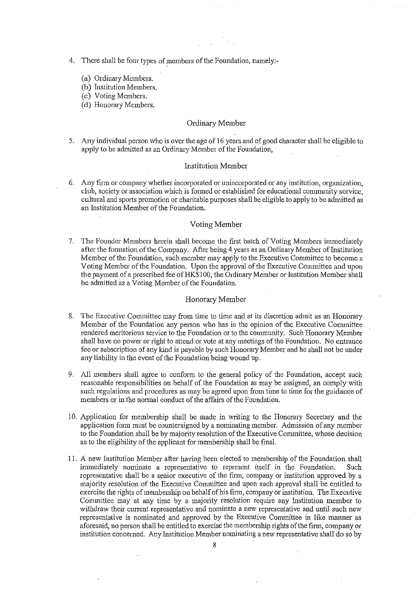- 4. There shall be four types of members of the Foundation, namely:-
	- (a) Ordinary Members.
	- (b) Institution Members.
	- (c) Voting Members.
	- (d) Honorary Members.

### Ordinary Member

5. Any individual person who is over the age of 16 years and of good character shall be eligible to apply to be admitted as an Ordinary Member of the Foundation,

#### Institution Member

6. Any firm or company whether incorporated or unincorporated or any institution, organization, club, society or association which is formed or established for educational community service, cultural and sports promotion or charitable purposes shall be eligible to apply to be admitted as an Institution Member of the Foundation.

#### Voting Member

7. The Founder Members herein shall become the first batch of Voting Members inrrnediately after the formation of the Company. After being 4 years as an Ordinary Member of Institution Member of the Foundation, such member may apply to the Executive Committee to become a Voting Member of the Foundation. Upon the approval of the Executive Committee and upon the payment of a prescribed fee of HK\$100, the Ordinary Member or Institution Member shall be admitted as a Voting Member of the Foundation.

#### Honorary Member

- 8. The Executive Committee may from time to time and at its discretion admit as an Honorary Member of the Foundation any person who has in the opinion of the Executive Committee rendered meritorious service to the Foundation or to the community. Such Honorary Member shall have no power or right to attend or vote at any meetings of the Foundation. No entrance fee or subscription of any kind is payable by such Honorary Member and he shall not be under any liability in the event of the Foundation being wound up.
- 9. All members shall agree to conform to the general policy of the Foundation, accept such reasonable responsibilities on behalf of the Foundation as may be assigned, an comply with such regulations and procedures as may be agreed upon from time to time for the guidance of members or in the normal conduct of the affairs of the Foundation.
- 10. Application for membership shall be made in writing to the Honorary Secretary and the application form must be countersigned by a nominating member. Admission of any member to the Foundation shall be by majority resolution of the Executive Committee, whose decision as to the eligibility of the applicant for membership shall be final.
- 11. A new Institution Member after having been elected to membership of the Foundation shall immediately nominate a representative to represent itself in the Foundation. Such representative shall be a senior executive of the firm, company or institution approved by a majority resolution of the Executive Committee and upon such approval shall be entitled to exercise the rights of membership on behalf of his firm, company or institution. The Executive Committee may at any time by a majority resolution require any Institution member to withdraw their current representative and nominate a new representative and until such new representative is nominated and approved by the Executive Committee in like manner as aforesaid, no person shall be entitled to exercise the membership rights of the firm, company or institution concerned. Any Institution Member nominating a new representative shall do so by

8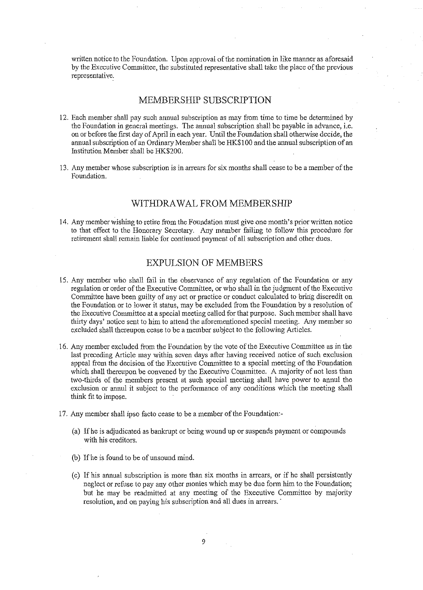written notice to the Foundation. Upon approval of the nomination in like manner as aforesaid by the Executive Committee, the substituted representative shall take the place of the previous representative,

## MEMBERSHIP SUBSCRIPTION

- 12. Each member shall pay such annual subscription as may from time to time be determined by the Foundation in general meetings. The annual subscription shall be payable in advance, i.e. on or before the first day of April in each year. Until the Foundation shall otherwise decide, the annual subscription of an Ordinary Member shall be HK\$100 and the annual subscription of an Institution Member shall be HK\$200.
- 13. Any member whose subscription is in arrears for six months shall cease to be a member of the Foundation.

### WITHDRAW AL FROM MEMBERSHIP

14. Any member wishing to retire from the Foundation must give one month's prior written notice to that effect to the Honorary Secretary. Any member failing to follow this procedure for retirement shall remain liable for continued payment of all subscription and other dues.

### EXPULSION OF MEMBERS

- 15. Any member who shall fail in the observance of any regulation of the Foundation or any regulation or order of the Executive Committee, or who shall in the judgment of the Executive Committee have been guilty of any act or practice or conduct calculated to bring discredit on the Foundation or to lower it status, may be excluded from the Foundation by a resolution of the Executive Committee at a special meeting called for that purpose. Such member shall have thirty days' notice sent to him to attend the aforementioned special meeting. Any member so excluded shall thereupon cease to be a member subject to the following Articles.
- 16. Any member excluded from the Foundation by the vote of the Executive Committee as in the last preceding Article may within seven days after having received notice of such exclusion appeal from the decision of the Executive Committee to a special meeting of the Foundation which shall thereupon be convened by the Executive Committee. A majority of not less than two-thirds of the members present at such special meeting shall have power to annul the exclusion or annul it subject to the performance of any conditions which the meeting shall think fit to impose.
- 17. Any member shall ipso facto cease to be a member of the Foundation:-
	- (a) Ifhe is adjudicated as bankrupt or being wound up or suspends payment or compounds with his creditors.
	- (b) Ifhe is found to be of unsound mind.
	- ( c) If his annual subscription is more than six months in arrears, or if he shall persistently neglect or refuse to pay any other monies which may be due form him to the Foundation; but he may be readmitted at any meeting of the Executive Committee by majority resolution, and on paying his subscription and all dues in arrears.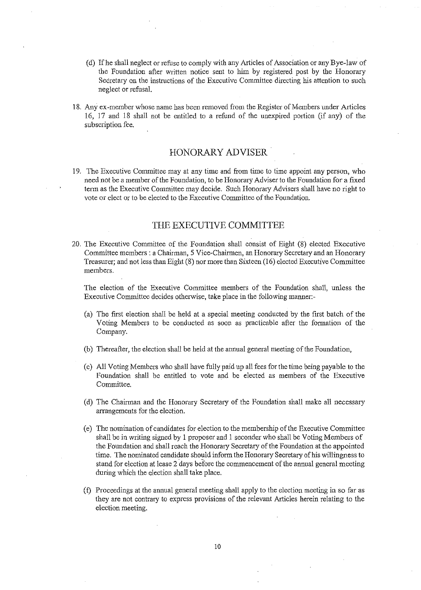- (d) Ifhe shall neglect or refuse to comply with any Articles of Association or any Bye-law of the Foundation after written notice sent to him by registered post by the Honorary Secretary on the instructions of the Executive Committee directing his attention to such neglect or refusal.
- 18. Any ex-member whose name has been removed from the Register of Members under Articles 16, 17 and 18 shall not be entitled to a refund of the unexpired portion (if any) of the subscription fee.

## **HONORARY ADVISER** .

19. The Executive Committee may at any time and from time to time appoint any person, who need not be a member of the Foundation, to be Honorary Adviser to the Foundation for a fixed term as the Executive Committee may decide. Such Honorary Advisers shall have no right to vote or elect or to be elected to the Executive Committee of the Foundation.

### **THE EXECUTIVE COMMITTEE**

20. The Executive Committee of the Foundation shall consist of Eight (8) elected Executive Committee members : a Chairman, 5 Vice-Chairmen, an Honorary Secretary and an Honorary Treasurer; and not less than Eight (8) nor more than Sixteen (16) elected Executive Committee members.

The election of the Executive Committee members of the Foundation shall, unless the Executive Committee decides otherwise, take place in the following manner:-

- (a) The first election shall be held at a special meeting conducted by the first batch of the Voting Members to be conducted as soon as practicable after the formation of the Company.
- (b) Thereafter, the election shall be held at the annnal general meeting of the Foundation,
- ( c) All Voting Members who shall have fully paid up all fees for the time being payable to the Foundation shall be entitled to vote and be elected as members of the Executive Committee.
- (d) The Chairman and the Honorary Secretary of the Foundation shall make all necessary arrangements for the election.
- ( e) The nomination of candidates for election to the membership of the Executive Committee shall be in writing signed by 1 proposer and 1 seconder who shall be Voting Members of the Foundation and shall reach the Honorary Secretary of the Foundation at the appointed time. The nominated candidate should inform the Honorary Secretary of his willingness to stand for election at lease 2 days before the commencement of the annual general meeting during which the election shall take place.
- (f) Proceedings at the annual general meeting shall apply to the election meeting in so far as they are not contrary to express provisions of the relevant Articles herein relating to the election meeting.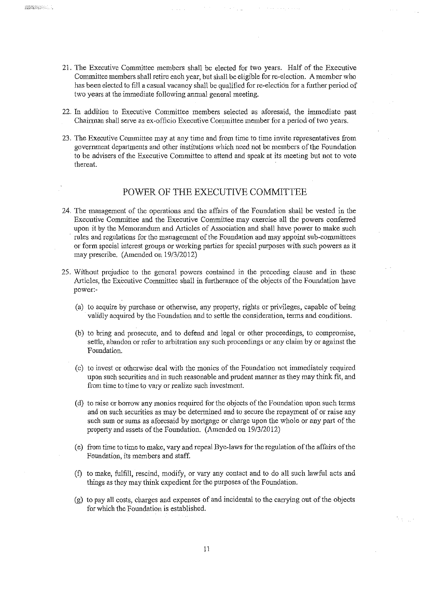- 21. The Executive Committee members shall be elected for two years. Half of the Executive Committee members shall retire each year, but shall be eligible for re-election. A member who has been elected to fill a casual vacancy shall be qualified for re-election for a further period of two years at the immediate following annual general meeting.
- 22. In addition to Executive Committee members selected as aforesaid, the immediate past Chairman shall serve as ex-officio Executive Conunittee member for a period of two years.
- 23. The Executive Committee may at any time and from time to time invite representatives from government departments and other institutions which need not be members of the Foundation to be advisers of the Executive Committee to attend and speak at its meeting but not to vote thereat.

## POWER OF THE EXECUTIVE COMMITTEE

- 24. The management of the operations and the affairs of the Foundation shall be vested in the Executive Committee and the Executive Committee may exercise all the powers conferred upon it by the Memorandum aud Articles of Association and shall have power to make such rules and regulations for the management of the Foundation and may appoint sub-committees or form special interest groups or working parties for special purposes with such powers as it may prescribe. (Amended on 19/3/2012)
- 25. Without prejudice to the general powers contained in the preceding clause and in these Articles, the Executive Committee shall in furtherance of the objects of the Foundation have power:-
	- (a) to acquire by purchase or otherwise, any property, rights or privileges, capable of being validly acquired by the Foundation and to settle the consideration, terms and conditions.
	- (b) to bring and prosecute, and to defend and legal or other proceedings, to compromise, settle, abandon or refer to arbitration any such proceedings or any claim by or against the Foundation.
	- (c) to invest or otherwise deal with the monies of the Foundation not immediately required upon such securities and in such reasonable and prudent manner as they may think fit, and from time to time to vary or realize such investment.
	- (d) to raise or borrow any monies required forthe objects of the Foundation upon such terms and on such securities as may be determined and to secure the repayment of or raise any such sum or sums as aforesaid by mortgage or charge upon the whole or any part of the property and assets of the Foundation. (Amended on 19/3/2012)
	- ( e) from time to time to make, vary and repeal Bye-laws for the regulation of the affairs of the Foundation, its members and staff.
	- (f) to make, fulfil!, rescind, modify, or vary any contact and to do all such lawful acts and things as they may think expedient for the purposes of the Foundation.
	- (g) to pay all costs, charges and expenses of and incidental to the carrying out of the objects for which the Foundation is established.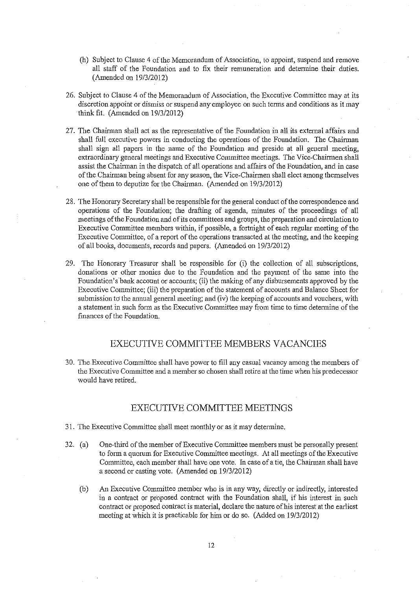- (h) Subject to Clause 4 of the Memorandum of Association, to appoint, suspend and remove all staff of the Foundation and to fix their remuneration and determine their duties. (Amended on 19/3/2012)
- 26. Subject to Clause 4 of the Memorandum of Association, the Executive Committee may at its discretion appoint or dismiss or suspend any employee on such terms and conditions as it may think fit. (Amended on 19/3/2012)
- 27. The Chairman shall act as the representative of the Foundation in all its external affairs and shall full executive powers in conducting the operations of the Foundation. The Chairman shall sign all papers in the name of the Foundation and preside at all general meeting, extraordinary general meetings and Executive Committee meetings. The Vice-Chairmen shall assist the Chainnan in the dispatch of all operations and affairs of the Foundation, and in case of the Chairman being absent for any season, the Vice-Chairmen shall elect among themselves one of them to deputize for the Chairman. (Amended on 19/3/2012)
- 28. The Honorary Secretary shall be responsible for the general conduct of the correspondence and operations of the Foundation; the drafting of agenda, minutes of the proceedings of all meetings of the Foundation and of its committees and groups, the preparation and circulation to Executive Committee members within, if possible, a fortnight of each regular meeting of the Executive Committee, of a report of the operations transacted at the meeting, and the keeping of all books, documents, records and papers. (Amended on 19/3/2012)
- 29. The Honorary Treasurer shall be responsible for (i) the collection of all subscriptions, donations or other monies due to the Foundation and the payment of the same into the Foundation's bank account or accounts; (ii) the making of any disbursements approved by the Executive Committee; (iii) the preparation of the statement of accounts and Balance Sheet for submission to the annual general meeting; and (iv) the keeping of accouuts and vouchers, with a statement in such form as the Executive Committee may from time to time determine of the finances of the Foundation.

## EXECUTIVE COMMITTEE MEMBERS VACANCIES

30. The Executive Committee shall have power to fill any casual vacancy among the members of the Executive Committee and a member so chosen shall retire at the time when his predecessor would have retired.

## EXECUTIVE COMMITTEE MEETINGS

- 31. The Executive Committee shall meet monthly or as it may determine.
- 32. (a) One-third of the member of Executive Committee members must be personally present to form a quorum for Executive Committee meetings. At all meetings of the Executive Committee, each member shall have one vote. In case of a tie, the Chairman shall have a second or casting vote. (Amended on 19/3/2012)
	- (b) An Executive Committee member who is in any way, directly or indirectly, interested in a contract or proposed contract with the Foundation shall, if his interest in such contract or proposed contract is material, declare the nature of his interest at the earliest meeting at which it is practicable for him or do so. (Added on 19/3/2012)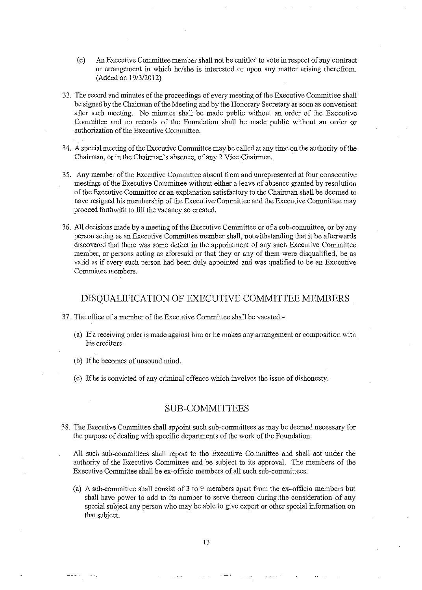- (c) An Executive Committee member shall not be entitled to vote in respect of any contract or arrangement in which he/she is interested or upon any matter arising therefrom. (Added on 19/3/2012)
- 33. The record and minutes of the proceedings of every meeting of the Executive Committee shall be signed by the Chainnan of the Meeting and by the Honorary Secretary as soon as convenient after such meeting. No minutes shall be made public without an order of the Executive Committee and no records of the Foundation shall be made public without an order or authorization of the Executive Committee.
- 34. A special meeting of the Executive Committee may be called at any time on the authority of the Chairman, or in the Chairman's absence, of any 2 Vice-Chairmen.
- 35. Any member of the Executive Committee absent from and umepresented at four consecutive meetings of the Executive Committee without either a leave of absence granted by resolution of the Executive Committee or an explanation satisfactory to the Chainnan shall be deemed to have resigned his membership of the Executive Committee and the Executive Committee may proceed forthwith to fill the vacancy so created.
- 36. All decisions made by a meeting of the Executive Committee or of a sub-committee, or by any person acting as an Executive Committee member shall, notwithstanding that it be afterwards discovered that there was some defect in the appointment of any such Executive Committee member, or persons acting as aforesaid or that they or any of them were disqualified, be as valid as if every such person had been duly appointed and was qualified to be an Executive Committee members.

## DISQUALIFICATION OF EXECUTIVE COMMITTEE MEMBERS

- 37. The office of a member of the Executive Committee shall be vacated:-
	- (a) If a receiving order is made against him or he makes any arrangement or composition with his creditors.
	- (b) If he becomes of unsound mind.
	- (c) Ifhe is convicted of any criminal offence which involves the issue of dishonesty.

### SUB-COMMITTEES

38. The Executive Committee shall appoint such sub-corrunittees as may be deemed necessary for the purpose of dealing with specific departments of the work of the Foundation.

All such sub-committees shall report to the Executive Committee and shall act under the authority of the Executive Committee and be subject to its approval. The members of the Executive Committee shall be ex-officio members of all such sub-committees.

(a) A sub-committee shall consist of 3 to 9 members apart from the ex-officio members but shall have power to add to its number to serve thereon during .the consideration of any special subject any person who may be able to give expert or other special information on that subject.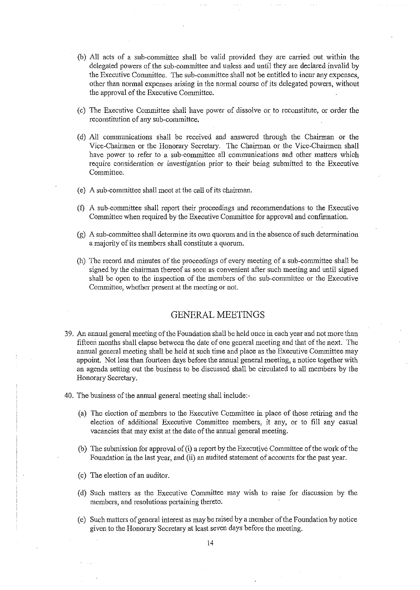- (b) All acts of a sub-committee shall be valid provided they are carried out within the delegated powers of the sub-committee and unless and until they are declared invalid by the Executive Committee. The sub-committee shall not be entitled to incur any expenses, other than normal expenses arising in the normal course of its delegated powers, without the approval of the Executive Committee.
- ( c) The Executive Committee shall have power of dissolve or to reconstitute, or order the reconstitution of any sub-committee.
- ( d) All communications shall be received and answered through the Chairman or the Vice-Chairmen or the Honorary Secretary. The Chairman or the Vice-Chairmen shall have power to refer to a sub-committee all communications and other matters which require consideration or investigation prior to their being submitted to the Executive Committee.
- ( e) A sub-committee shall meet at the call of its chairman.
- (f) A sub-committee shall report their proceedings and recommendations to the Executive Committee when required by the Executive Committee for approval and confirmation.
- (g) A sub-committee shall determine its own quorum and in the absence of such determination a majority of its members shall constitute a quorum.
- (h) The record and minutes of the proceedings of every meeting of a sub-committee shall be signed by the chairman thereof as soon as convenient after such meeting and until signed shall be open to the inspection of the members of the sub-committee or the Executive Committee, whether present at the meeting or not.

### GENERAL MEETINGS

- 39. An annual general meeting of the Foundation shall be held once in each year and not more than fifteen months shall elapse between the date of one general meeting and that of the next. The annual general meeting shall be held at such time and place as the Executive Committee may appoint. Not less than fourteen days before the annual general meeting, a notice together with an agenda setting out the business to be discussed shall be circulated to all members by the Honorary Secretary.
- 40. The business of the annual general meeting shall include:-
	- (a) The election of members to the Executive Committee in place of those retiring and the election of additional Executive Committee members, it any, or to fill any casual vacancies that may exist at the date of the annual general meeting.
	- (b) The submission for approval of (i) a report by the Executive Committee of the work of the Foundation in the last year, and (ii) an audited statement of accounts for the past year.
	- (c) The election of an auditor.
	- ( d) Such matters as the Executive Committee may wish to raise for discussion by the members, and resolutions pertaining thereto.
	- ( e) Such matters of general interest as may be raised by a member of the Foundation by notice given to the Honorary Secretary at least seven days before the meeting.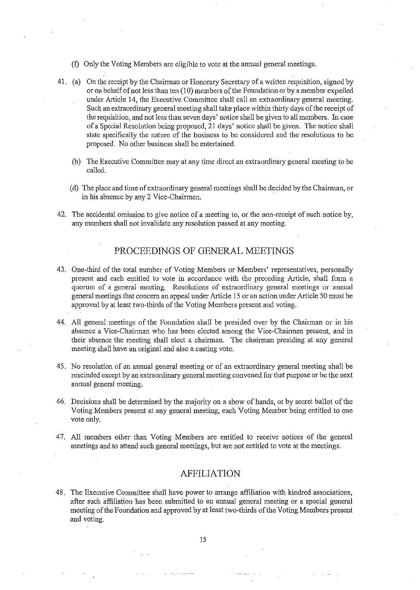- (f) Only the Voting Members are eligible to vote at the annual general meetings.
- 41. (a) On the receipt by the Chairman or Honorary Secretary of a written requisition, signed by or on behalf ofnot less than ten (10) members of the Foundation or by a member expelled under Article 14, the Executive Committee shall call an extraordinary general meeting. Such an extraordinary general meeting shall take place within thirty days of the receipt of the requisition, and not less than seven days' notice shall be given to all members. In case of a Special Resolution being proposed, 21 days' notice shall be given. The notice shall state specifically the nature of the business to be considered and the resolutions to be proposed. No other business shall be entertained.
	- (b) The Executive Committee may at any time direct an extraordinary general meeting to be called.
	- ( d) The place and time of extraordinary general meetings shall be decided by the Chairman, or in his absence by any 2 Vice-Chairmen.
- 42. The accidental omission to give notice of a meeting to, or the non-receipt of such notice by, any members shall not invalidate any resolution passed at any meeting.

## PROCEEDINGS OF GENERAL MEETINGS

- 43. One-third of the total number of Voting Members or Members' representatives, personally present and each entitled to vote in accordance with the preceding Article, shall form a quorum of a general meeting. Resolutions of extraordinary general meetings or annual general meetings that concern an appeal under Article 15 or an action under Article 50 must be approved by at least two-thirds of the Voting Members present and voting.
- 44. All general meetings of the Foundation shall be presided over by the Chairman or in his absence a Vice-Chairman who has been elected among the Vice-Chairmen present, and in their absence the meeting shall elect a chairman. The chairman presiding at any general meeting shall have an original and also a casting vote.
- 45. No resolution of an annual general meeting or of an extraordinary general meeting shall be rescinded except by an extraordinary general meeting convened for that purpose or be the next annual general meeting.
- 46. Decisions shall be determined by the majority on a show of hands, or by secret ballot of the Voting Members present at any general meeting, each Voting Member being entitled to one vote only.
- 47. All members other than Voting Members are entitled to receive notices of the general meetings and to attend such general meetings, but are not entitled to vote at the meetings.

## AFFILIATION

48. The Executive Committee shall have power to arrange affiliation with kindred associations, after such affiliation has been submitted to an annual general meeting or a special general meeting of the Foundation and approved by at least two-thirds of the Voting Members present and voting.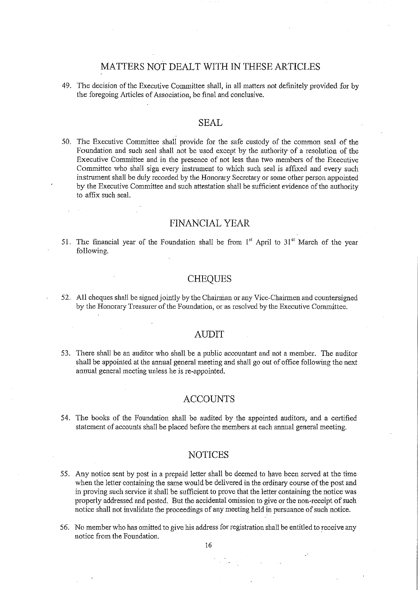## MA TIERS NOT DEALT WITH IN THESE ARTICLES

49. The decision of the Executive Committee shall, in all matters not definitely provided for by the foregoing Articles of Association, be final and conclusive.

## SEAL

50. The Executive Committee shall provide for the safe custody of the common seal of the Foundation and such seal shall not be used except by the authority of a resolution of the Executive Committee and in the presence of not less than two members of the Executive Committee who shall sign every instrument to which such seal is affixed and every such instrument shall be duly recorded by the Honorary Secretary or some other person appointed by the Executive Committee and such attestation shall be sufficient evidence of the authority to affix such seal.

### FINANCIAL YEAR

51. The financial year of the Foundation shall be from  $1<sup>st</sup>$  April to  $31<sup>st</sup>$  March of the year following.

### **CHEQUES**

52. All cheques shall be signed jointly by the Chairman or any Vice-Chairmen and countersigned by the Honorary Treasurer of the Foundation, or as resolved by the Executive Committee.

### AUDIT

53. There shall be an auditor who shall be a public accountant and not a member. The auditor shall be appointed at the annual general meeting and shall go out of office following the next annual general meeting unless he is re-appointed.

### ACCOUNTS

54. The books of the Foundation shall be audited by the appointed auditors, and a certified statement of accounts shall be placed before the members at each annual general meeting.

### NOTICES

- 55. Any notice sent by post in a prepaid letter shall be deemed to have been served at the time when the letter containing the same would be delivered in the ordinary course of the post and in proving such service it shall be sufficient to prove that the letter containing the notice was properly addressed and posted. But the accidental omission to give or the non-receipt of such notice shall not invalidate the proceedings of any meeting held in pursuance of such notice.
- 56. No member who has omitted to give his address for registration shall be entitled to receive any notice from the Foundation.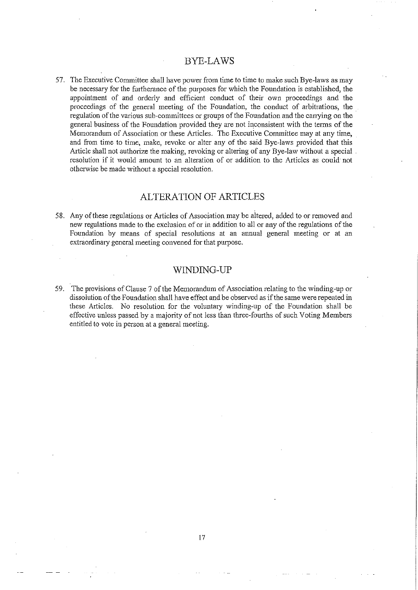### BYE-LAWS

57. The Executive Committee shall have power from time to time to make such Bye-laws as may be necessary for the furtherance of the purposes for which the Foundation is established, the appointment of and orderly and efficient conduct of their own proceedings and the proceedings of the general meeting of the Fouudation, the conduct of arbitrations, the regulation of the various sub-committees or groups of the Foundation and the carrying on the general business of the Foundation provided they are not inconsistent with the terms of the Memorandum of Association or these Articles. The Executive Committee may at any time, and from time to time, make, revoke or alter any of the said Bye-laws provided that this Article shall not authorize the making, revoking or altering of any Bye-law without a special resolution if it would amount to an alteration of or addition to the Articles as could· not otherwise be made without a special resolution.

### ALTERATION OF ARTICLES

58. Any of these regulations or Articles of Association may be altered, added to or removed and new regulations made to the exclusion of or in addition to all or any of the regulations of the Foundation by means of special resolutions at an annual general meeting or at an extraordinary general meeting convened for that purpose.

### WINDING-UP

59. The provisions of Clause 7 of the Memorandum of Association relating to the winding-up or dissolution of the Foundation shall have effect and be observed as if the same were repeated in these Articles. No resolution for the voluntary winding-up of the Foundation shall be effective unless passed by a majority of not less than three-fourths of such Voting Members entitled to vote in person at a general meeting.